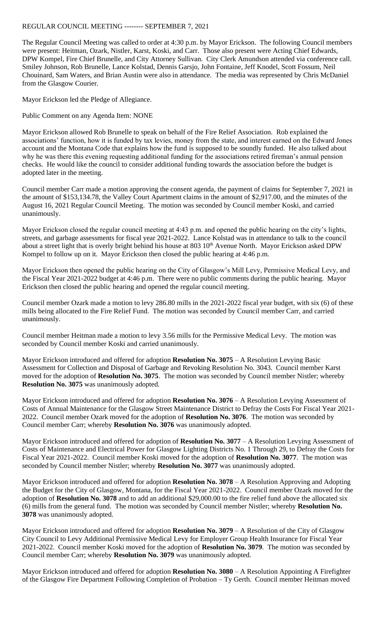## REGULAR COUNCIL MEETING -------- SEPTEMBER 7, 2021

The Regular Council Meeting was called to order at 4:30 p.m. by Mayor Erickson. The following Council members were present: Heitman, Ozark, Nistler, Karst, Koski, and Carr. Those also present were Acting Chief Edwards, DPW Kompel, Fire Chief Brunelle, and City Attorney Sullivan. City Clerk Amundson attended via conference call. Smiley Johnson, Rob Brunelle, Lance Kolstad, Dennis Garsjo, John Fontaine, Jeff Knodel, Scott Fossum, Neil Chouinard, Sam Waters, and Brian Austin were also in attendance. The media was represented by Chris McDaniel from the Glasgow Courier.

Mayor Erickson led the Pledge of Allegiance.

Public Comment on any Agenda Item: NONE

Mayor Erickson allowed Rob Brunelle to speak on behalf of the Fire Relief Association. Rob explained the associations' function, how it is funded by tax levies, money from the state, and interest earned on the Edward Jones account and the Montana Code that explains how the fund is supposed to be soundly funded. He also talked about why he was there this evening requesting additional funding for the associations retired fireman's annual pension checks. He would like the council to consider additional funding towards the association before the budget is adopted later in the meeting.

Council member Carr made a motion approving the consent agenda, the payment of claims for September 7, 2021 in the amount of \$153,134.78, the Valley Court Apartment claims in the amount of \$2,917.00, and the minutes of the August 16, 2021 Regular Council Meeting. The motion was seconded by Council member Koski, and carried unanimously.

Mayor Erickson closed the regular council meeting at 4:43 p.m. and opened the public hearing on the city's lights, streets, and garbage assessments for fiscal year 2021-2022. Lance Kolstad was in attendance to talk to the council about a street light that is overly bright behind his house at 803  $10<sup>th</sup>$  Avenue North. Mayor Erickson asked DPW Kompel to follow up on it. Mayor Erickson then closed the public hearing at 4:46 p.m.

Mayor Erickson then opened the public hearing on the City of Glasgow's Mill Levy, Permissive Medical Levy, and the Fiscal Year 2021-2022 budget at 4:46 p.m. There were no public comments during the public hearing. Mayor Erickson then closed the public hearing and opened the regular council meeting.

Council member Ozark made a motion to levy 286.80 mills in the 2021-2022 fiscal year budget, with six (6) of these mills being allocated to the Fire Relief Fund. The motion was seconded by Council member Carr, and carried unanimously.

Council member Heitman made a motion to levy 3.56 mills for the Permissive Medical Levy. The motion was seconded by Council member Koski and carried unanimously.

Mayor Erickson introduced and offered for adoption **Resolution No. 3075** – A Resolution Levying Basic Assessment for Collection and Disposal of Garbage and Revoking Resolution No. 3043. Council member Karst moved for the adoption of **Resolution No. 3075**. The motion was seconded by Council member Nistler; whereby **Resolution No. 3075** was unanimously adopted.

Mayor Erickson introduced and offered for adoption **Resolution No. 3076** – A Resolution Levying Assessment of Costs of Annual Maintenance for the Glasgow Street Maintenance District to Defray the Costs For Fiscal Year 2021- 2022. Council member Ozark moved for the adoption of **Resolution No. 3076**. The motion was seconded by Council member Carr; whereby **Resolution No. 3076** was unanimously adopted.

Mayor Erickson introduced and offered for adoption of **Resolution No. 3077** – A Resolution Levying Assessment of Costs of Maintenance and Electrical Power for Glasgow Lighting Districts No. 1 Through 29, to Defray the Costs for Fiscal Year 2021-2022. Council member Koski moved for the adoption of **Resolution No. 3077**. The motion was seconded by Council member Nistler; whereby **Resolution No. 3077** was unanimously adopted.

Mayor Erickson introduced and offered for adoption **Resolution No. 3078** – A Resolution Approving and Adopting the Budget for the City of Glasgow, Montana, for the Fiscal Year 2021-2022. Council member Ozark moved for the adoption of **Resolution No. 3078** and to add an additional \$29,000.00 to the fire relief fund above the allocated six (6) mills from the general fund. The motion was seconded by Council member Nistler; whereby **Resolution No. 3078** was unanimously adopted.

Mayor Erickson introduced and offered for adoption **Resolution No. 3079** – A Resolution of the City of Glasgow City Council to Levy Additional Permissive Medical Levy for Employer Group Health Insurance for Fiscal Year 2021-2022. Council member Koski moved for the adoption of **Resolution No. 3079**. The motion was seconded by Council member Carr; whereby **Resolution No. 3079** was unanimously adopted.

Mayor Erickson introduced and offered for adoption **Resolution No. 3080** – A Resolution Appointing A Firefighter of the Glasgow Fire Department Following Completion of Probation – Ty Gerth. Council member Heitman moved